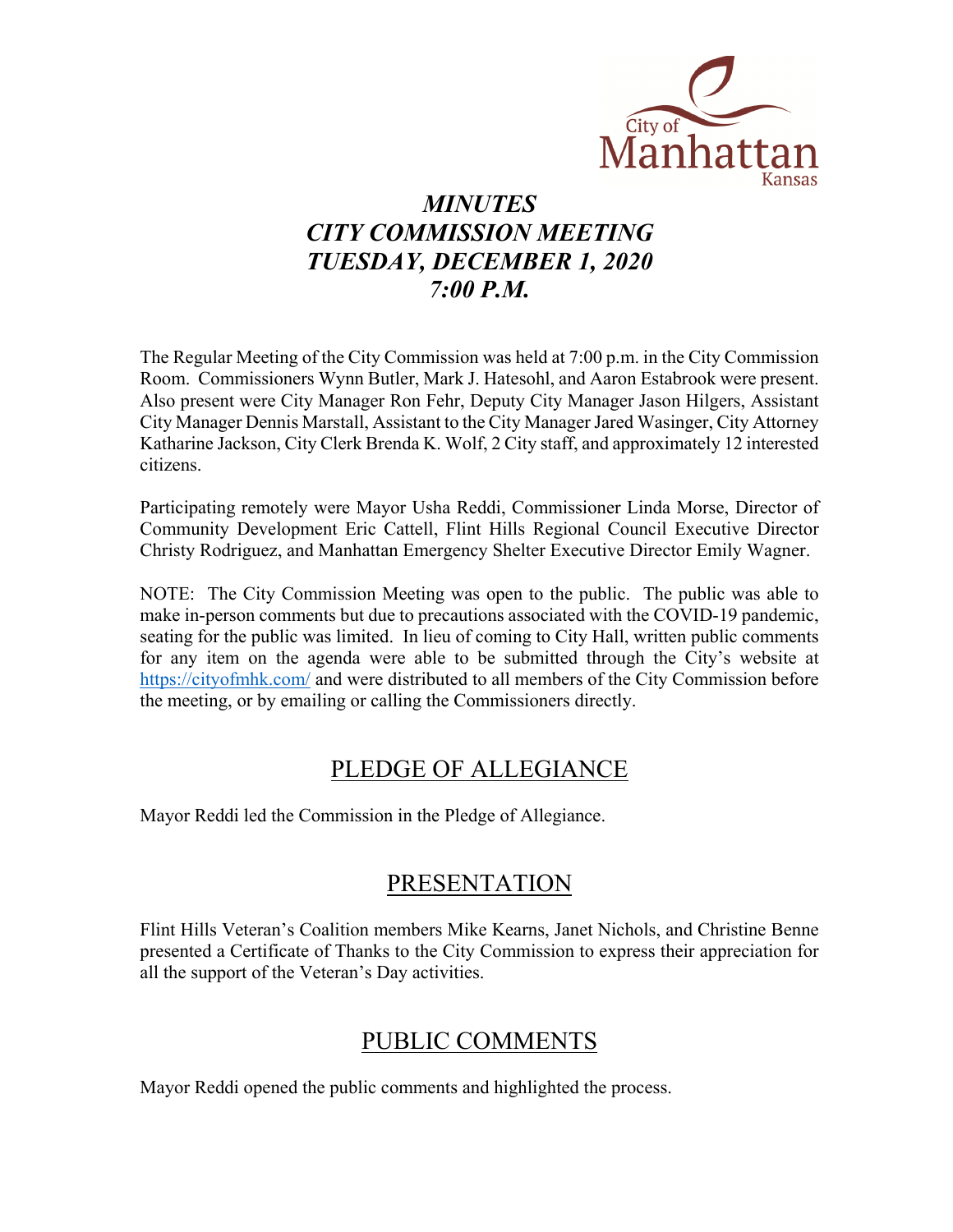

# *MINUTES CITY COMMISSION MEETING TUESDAY, DECEMBER 1, 2020 7:00 P.M.*

The Regular Meeting of the City Commission was held at 7:00 p.m. in the City Commission Room. Commissioners Wynn Butler, Mark J. Hatesohl, and Aaron Estabrook were present. Also present were City Manager Ron Fehr, Deputy City Manager Jason Hilgers, Assistant City Manager Dennis Marstall, Assistant to the City Manager Jared Wasinger, City Attorney Katharine Jackson, City Clerk Brenda K. Wolf, 2 City staff, and approximately 12 interested citizens.

Participating remotely were Mayor Usha Reddi, Commissioner Linda Morse, Director of Community Development Eric Cattell, Flint Hills Regional Council Executive Director Christy Rodriguez, and Manhattan Emergency Shelter Executive Director Emily Wagner.

NOTE: The City Commission Meeting was open to the public. The public was able to make in-person comments but due to precautions associated with the COVID-19 pandemic, seating for the public was limited. In lieu of coming to City Hall, written public comments for any item on the agenda were able to be submitted through the City's website at [https://cityofmhk.com/](https://cityofmhk.com/and) and were distributed to all members of the City Commission before the meeting, or by emailing or calling the Commissioners directly.

### PLEDGE OF ALLEGIANCE

Mayor Reddi led the Commission in the Pledge of Allegiance.

## PRESENTATION

Flint Hills Veteran's Coalition members Mike Kearns, Janet Nichols, and Christine Benne presented a Certificate of Thanks to the City Commission to express their appreciation for all the support of the Veteran's Day activities.

## PUBLIC COMMENTS

Mayor Reddi opened the public comments and highlighted the process.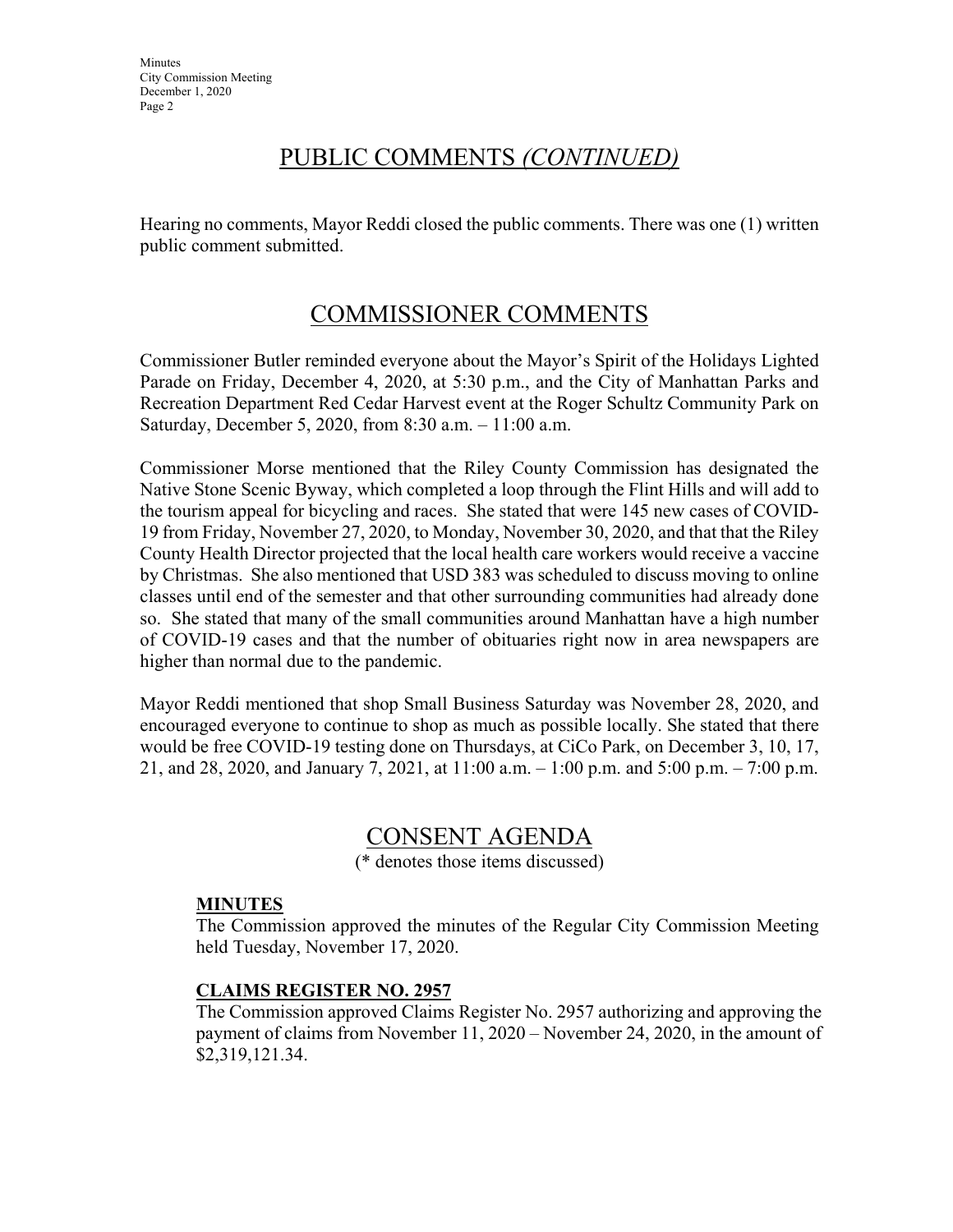### PUBLIC COMMENTS *(CONTINUED)*

Hearing no comments, Mayor Reddi closed the public comments. There was one (1) written public comment submitted.

## COMMISSIONER COMMENTS

Commissioner Butler reminded everyone about the Mayor's Spirit of the Holidays Lighted Parade on Friday, December 4, 2020, at 5:30 p.m., and the City of Manhattan Parks and Recreation Department Red Cedar Harvest event at the Roger Schultz Community Park on Saturday, December 5, 2020, from 8:30 a.m. – 11:00 a.m.

Commissioner Morse mentioned that the Riley County Commission has designated the Native Stone Scenic Byway, which completed a loop through the Flint Hills and will add to the tourism appeal for bicycling and races. She stated that were 145 new cases of COVID-19 from Friday, November 27, 2020, to Monday, November 30, 2020, and that that the Riley County Health Director projected that the local health care workers would receive a vaccine by Christmas. She also mentioned that USD 383 was scheduled to discuss moving to online classes until end of the semester and that other surrounding communities had already done so. She stated that many of the small communities around Manhattan have a high number of COVID-19 cases and that the number of obituaries right now in area newspapers are higher than normal due to the pandemic.

Mayor Reddi mentioned that shop Small Business Saturday was November 28, 2020, and encouraged everyone to continue to shop as much as possible locally. She stated that there would be free COVID-19 testing done on Thursdays, at CiCo Park, on December 3, 10, 17, 21, and 28, 2020, and January 7, 2021, at 11:00 a.m. – 1:00 p.m. and 5:00 p.m. – 7:00 p.m.

## CONSENT AGENDA

(\* denotes those items discussed)

### **MINUTES**

The Commission approved the minutes of the Regular City Commission Meeting held Tuesday, November 17, 2020.

### **CLAIMS REGISTER NO. 2957**

The Commission approved Claims Register No. 2957 authorizing and approving the payment of claims from November 11, 2020 – November 24, 2020, in the amount of \$2,319,121.34.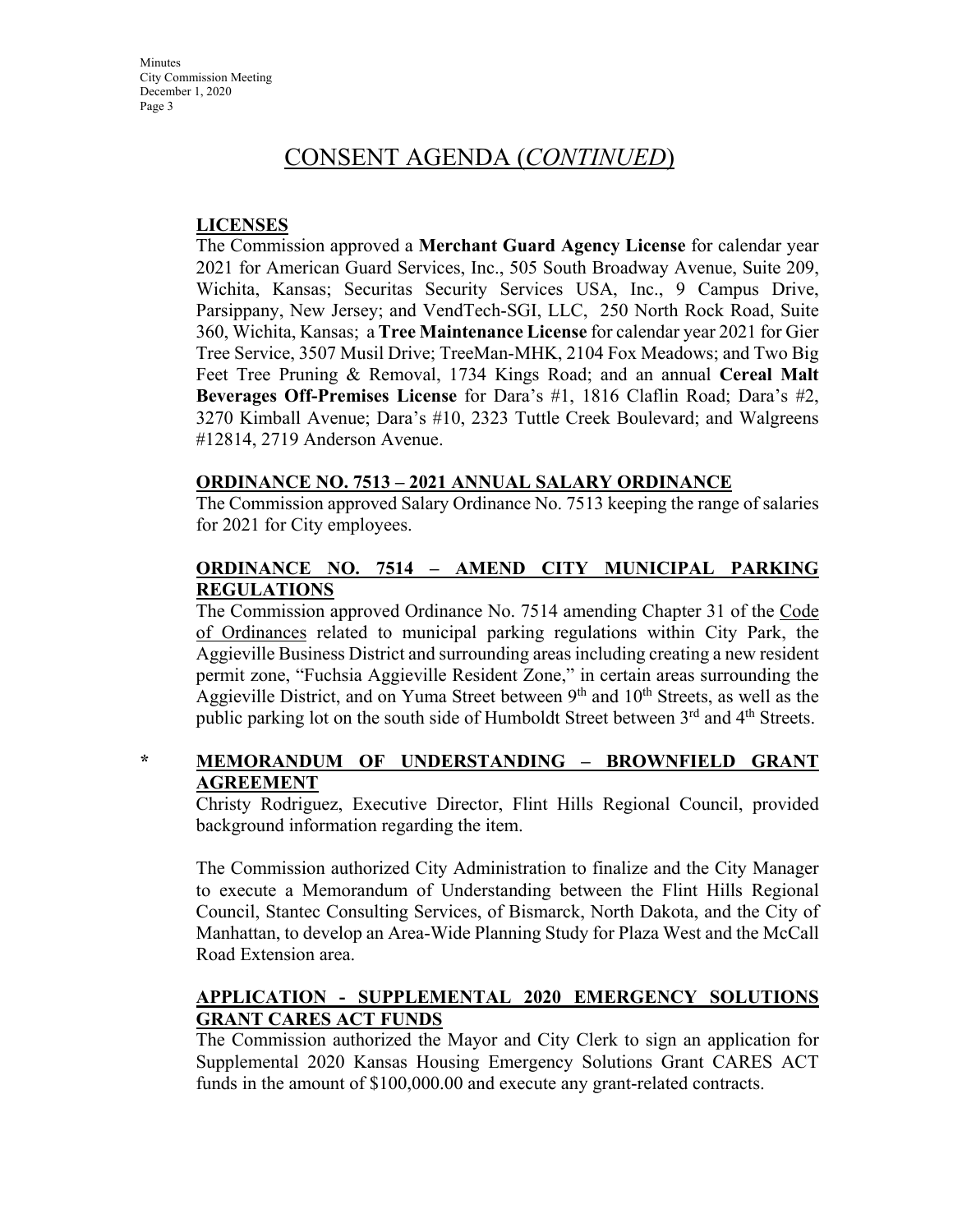**Minutes** City Commission Meeting December 1, 2020 Page 3

### CONSENT AGENDA (*CONTINUED*)

### **LICENSES**

The Commission approved a **Merchant Guard Agency License** for calendar year 2021 for American Guard Services, Inc., 505 South Broadway Avenue, Suite 209, Wichita, Kansas; Securitas Security Services USA, Inc., 9 Campus Drive, Parsippany, New Jersey; and VendTech-SGI, LLC, 250 North Rock Road, Suite 360, Wichita, Kansas; a **Tree Maintenance License** for calendar year 2021 for Gier Tree Service, 3507 Musil Drive; TreeMan-MHK, 2104 Fox Meadows; and Two Big Feet Tree Pruning & Removal, 1734 Kings Road; and an annual **Cereal Malt Beverages Off-Premises License** for Dara's #1, 1816 Claflin Road; Dara's #2, 3270 Kimball Avenue; Dara's #10, 2323 Tuttle Creek Boulevard; and Walgreens #12814, 2719 Anderson Avenue.

### **ORDINANCE NO. 7513 – 2021 ANNUAL SALARY ORDINANCE**

The Commission approved Salary Ordinance No. 7513 keeping the range of salaries for 2021 for City employees.

### **ORDINANCE NO. 7514 – AMEND CITY MUNICIPAL PARKING REGULATIONS**

The Commission approved Ordinance No. 7514 amending Chapter 31 of the Code of Ordinances related to municipal parking regulations within City Park, the Aggieville Business District and surrounding areas including creating a new resident permit zone, "Fuchsia Aggieville Resident Zone," in certain areas surrounding the Aggieville District, and on Yuma Street between  $9<sup>th</sup>$  and  $10<sup>th</sup>$  Streets, as well as the public parking lot on the south side of Humboldt Street between 3<sup>rd</sup> and 4<sup>th</sup> Streets.

### **\* MEMORANDUM OF UNDERSTANDING – BROWNFIELD GRANT AGREEMENT**

Christy Rodriguez, Executive Director, Flint Hills Regional Council, provided background information regarding the item.

The Commission authorized City Administration to finalize and the City Manager to execute a Memorandum of Understanding between the Flint Hills Regional Council, Stantec Consulting Services, of Bismarck, North Dakota, and the City of Manhattan, to develop an Area-Wide Planning Study for Plaza West and the McCall Road Extension area.

### **APPLICATION - SUPPLEMENTAL 2020 EMERGENCY SOLUTIONS GRANT CARES ACT FUNDS**

The Commission authorized the Mayor and City Clerk to sign an application for Supplemental 2020 Kansas Housing Emergency Solutions Grant CARES ACT funds in the amount of \$100,000.00 and execute any grant-related contracts.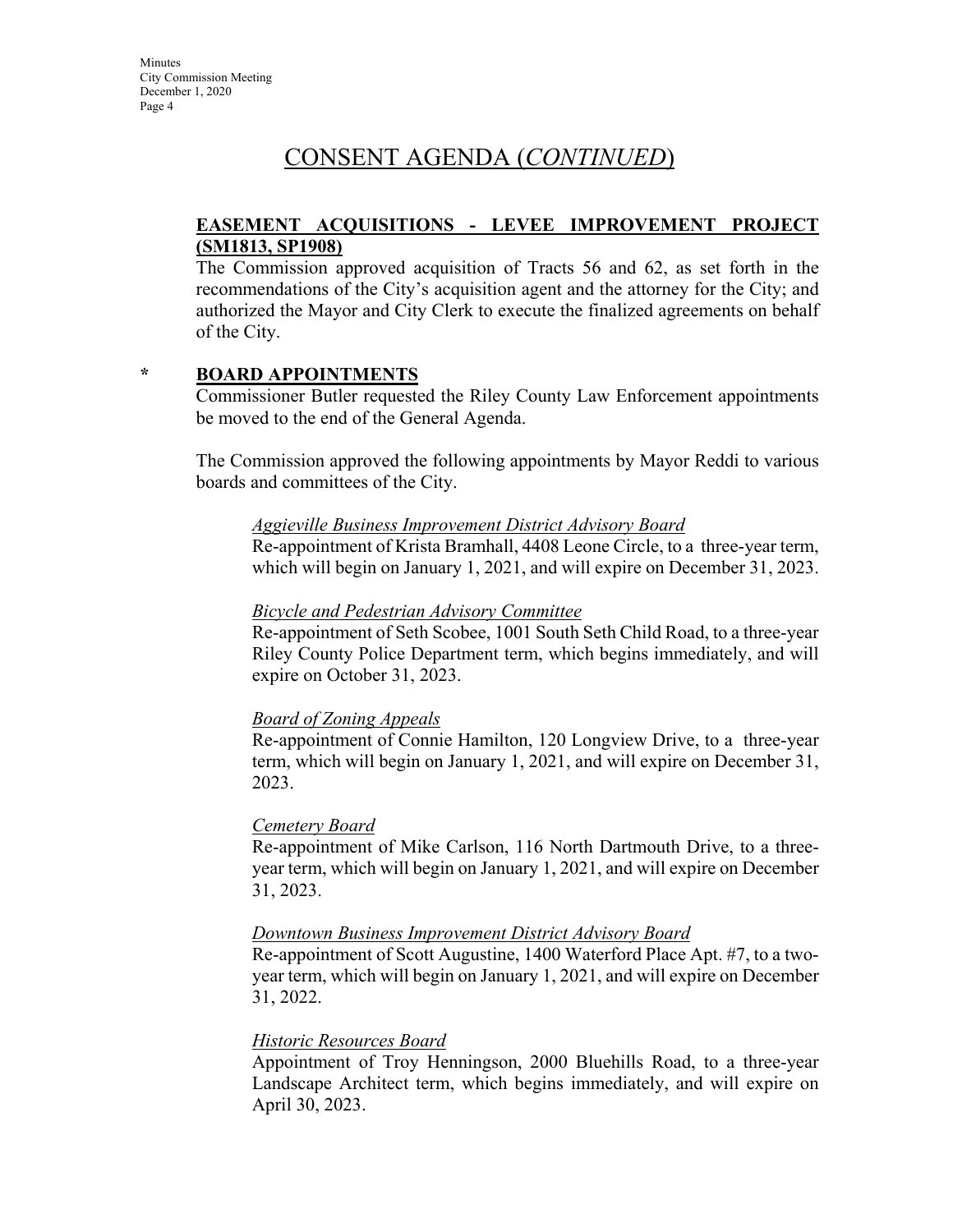### CONSENT AGENDA (*CONTINUED*)

### **EASEMENT ACQUISITIONS - LEVEE IMPROVEMENT PROJECT (SM1813, SP1908)**

The Commission approved acquisition of Tracts 56 and 62, as set forth in the recommendations of the City's acquisition agent and the attorney for the City; and authorized the Mayor and City Clerk to execute the finalized agreements on behalf of the City.

### **\* BOARD APPOINTMENTS**

Commissioner Butler requested the Riley County Law Enforcement appointments be moved to the end of the General Agenda.

The Commission approved the following appointments by Mayor Reddi to various boards and committees of the City.

#### *Aggieville Business Improvement District Advisory Board*

Re-appointment of Krista Bramhall, 4408 Leone Circle, to a three-year term, which will begin on January 1, 2021, and will expire on December 31, 2023.

#### *[Bicycle and Pedestrian Advisory Committee](http://www.cityofmhk.com/DocumentCenter/View/21758)*

Re-appointment of Seth Scobee, 1001 South Seth Child Road, to a three-year Riley County Police Department term, which begins immediately, and will expire on October 31, 2023.

### *Board of Zoning Appeals*

Re-appointment of Connie Hamilton, 120 Longview Drive, to a three-year term, which will begin on January 1, 2021, and will expire on December 31, 2023.

#### *Cemetery Board*

Re-appointment of Mike Carlson, 116 North Dartmouth Drive, to a threeyear term, which will begin on January 1, 2021, and will expire on December 31, 2023.

#### *Downtown Business Improvement District Advisory Board*

Re-appointment of Scott Augustine, 1400 Waterford Place Apt. #7, to a twoyear term, which will begin on January 1, 2021, and will expire on December 31, 2022.

#### *Historic Resources Board*

Appointment of Troy Henningson, 2000 Bluehills Road, to a three-year Landscape Architect term, which begins immediately, and will expire on April 30, 2023.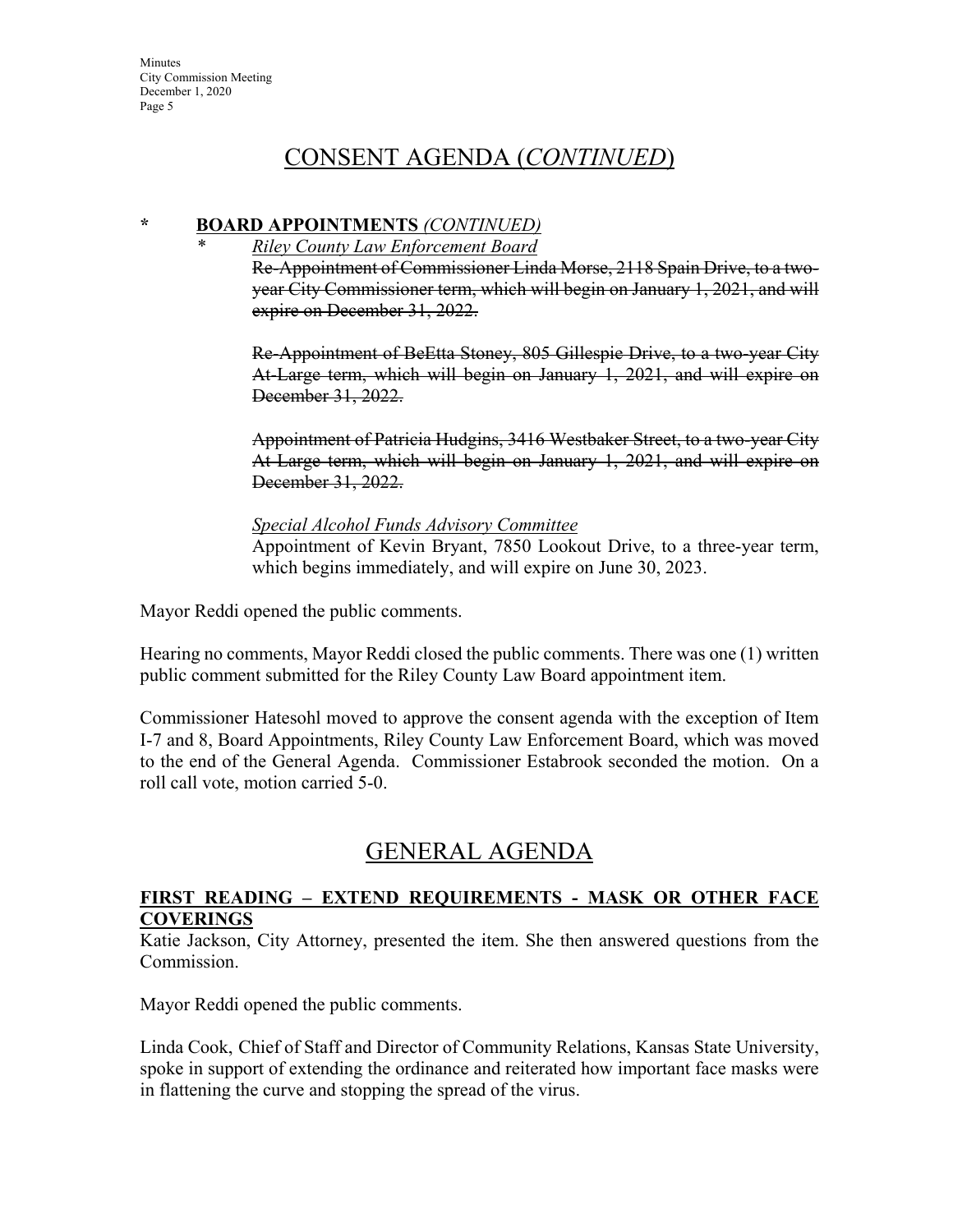### CONSENT AGENDA (*CONTINUED*)

### **\* BOARD APPOINTMENTS** *(CONTINUED)*

*\* Riley County Law Enforcement Board* Re-Appointment of Commissioner Linda Morse, 2118 Spain Drive, to a twoyear City Commissioner term, which will begin on January 1, 2021, and will

expire on December 31, 2022.

Re-Appointment of BeEtta Stoney, 805 Gillespie Drive, to a two-year City At-Large term, which will begin on January 1, 2021, and will expire on December 31, 2022.

Appointment of Patricia Hudgins, 3416 Westbaker Street, to a two-year City At-Large term, which will begin on January 1, 2021, and will expire on December 31, 2022.

### *Special Alcohol Funds Advisory Committee*

Appointment of Kevin Bryant, 7850 Lookout Drive, to a three-year term, which begins immediately, and will expire on June 30, 2023.

Mayor Reddi opened the public comments.

Hearing no comments, Mayor Reddi closed the public comments. There was one (1) written public comment submitted for the Riley County Law Board appointment item.

Commissioner Hatesohl moved to approve the consent agenda with the exception of Item I-7 and 8, Board Appointments, Riley County Law Enforcement Board, which was moved to the end of the General Agenda. Commissioner Estabrook seconded the motion. On a roll call vote, motion carried 5-0.

## GENERAL AGENDA

### **FIRST READING – EXTEND REQUIREMENTS - MASK OR OTHER FACE COVERINGS**

Katie Jackson, City Attorney, presented the item. She then answered questions from the Commission.

Mayor Reddi opened the public comments.

Linda Cook, Chief of Staff and Director of Community Relations, Kansas State University, spoke in support of extending the ordinance and reiterated how important face masks were in flattening the curve and stopping the spread of the virus.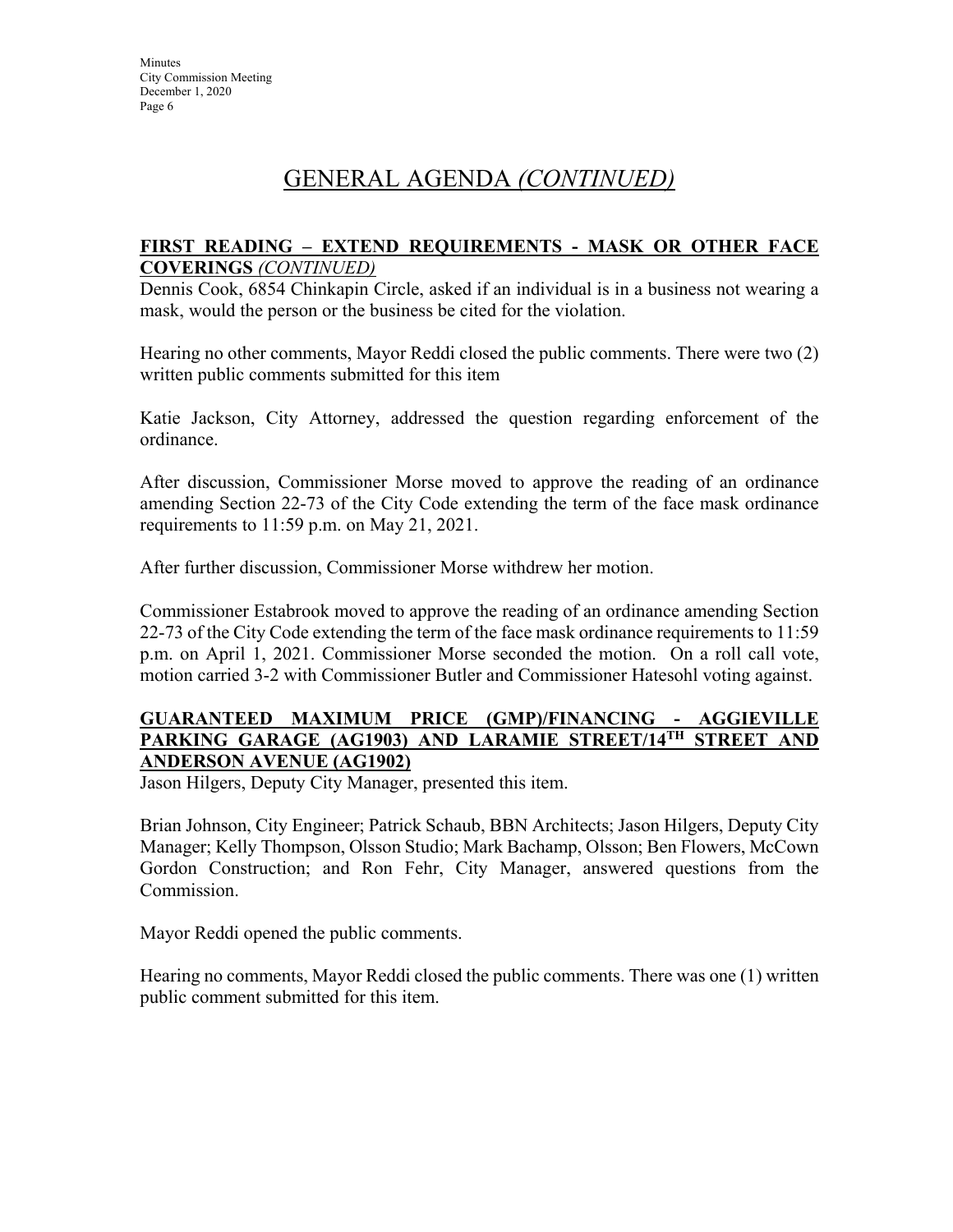### **FIRST READING – EXTEND REQUIREMENTS - MASK OR OTHER FACE COVERINGS** *(CONTINUED)*

Dennis Cook, 6854 Chinkapin Circle, asked if an individual is in a business not wearing a mask, would the person or the business be cited for the violation.

Hearing no other comments, Mayor Reddi closed the public comments. There were two (2) written public comments submitted for this item

Katie Jackson, City Attorney, addressed the question regarding enforcement of the ordinance.

After discussion, Commissioner Morse moved to approve the reading of an ordinance amending Section 22-73 of the City Code extending the term of the face mask ordinance requirements to 11:59 p.m. on May 21, 2021.

After further discussion, Commissioner Morse withdrew her motion.

Commissioner Estabrook moved to approve the reading of an ordinance amending Section 22-73 of the City Code extending the term of the face mask ordinance requirements to 11:59 p.m. on April 1, 2021. Commissioner Morse seconded the motion. On a roll call vote, motion carried 3-2 with Commissioner Butler and Commissioner Hatesohl voting against.

### **GUARANTEED MAXIMUM PRICE (GMP)/FINANCING - AGGIEVILLE PARKING GARAGE (AG1903) AND LARAMIE STREET/14TH STREET AND ANDERSON AVENUE (AG1902)**

Jason Hilgers, Deputy City Manager, presented this item.

Brian Johnson, City Engineer; Patrick Schaub, BBN Architects; Jason Hilgers, Deputy City Manager; Kelly Thompson, Olsson Studio; Mark Bachamp, Olsson; Ben Flowers, McCown Gordon Construction; and Ron Fehr, City Manager, answered questions from the Commission.

Mayor Reddi opened the public comments.

Hearing no comments, Mayor Reddi closed the public comments. There was one (1) written public comment submitted for this item.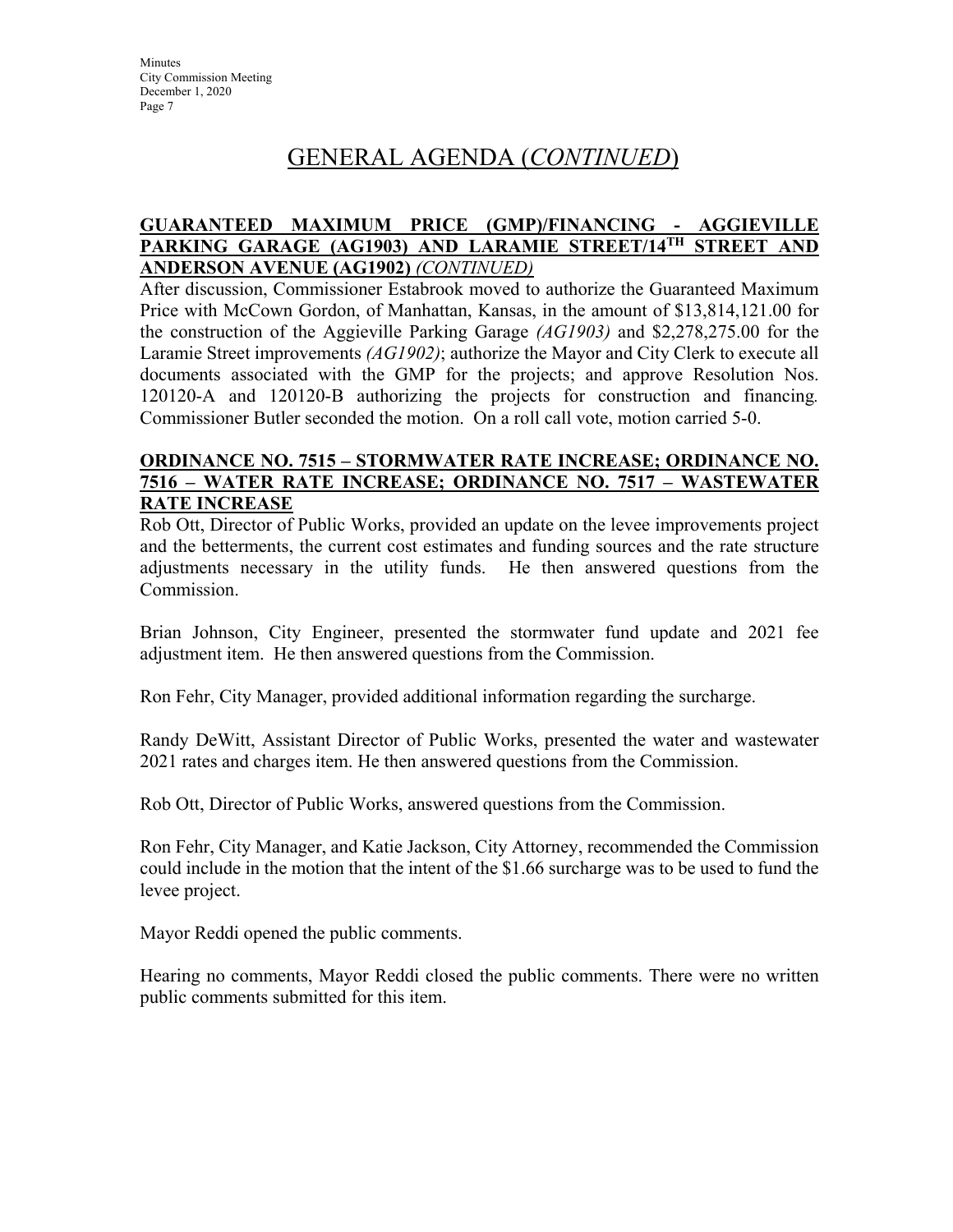### **GUARANTEED MAXIMUM PRICE (GMP)/FINANCING - AGGIEVILLE PARKING GARAGE (AG1903) AND LARAMIE STREET/14TH STREET AND ANDERSON AVENUE (AG1902)** *(CONTINUED)*

After discussion, Commissioner Estabrook moved to authorize the Guaranteed Maximum Price with McCown Gordon, of Manhattan, Kansas, in the amount of \$13,814,121.00 for the construction of the Aggieville Parking Garage *(AG1903)* and \$2,278,275.00 for the Laramie Street improvements *(AG1902)*; authorize the Mayor and City Clerk to execute all documents associated with the GMP for the projects; and approve Resolution Nos. 120120-A and 120120-B authorizing the projects for construction and financing*.* Commissioner Butler seconded the motion. On a roll call vote, motion carried 5-0.

### **ORDINANCE NO. 7515 – STORMWATER RATE INCREASE; ORDINANCE NO. 7516 – WATER RATE INCREASE; ORDINANCE NO. 7517 – WASTEWATER RATE INCREASE**

Rob Ott, Director of Public Works, provided an update on the levee improvements project and the betterments, the current cost estimates and funding sources and the rate structure adjustments necessary in the utility funds. He then answered questions from the Commission.

Brian Johnson, City Engineer, presented the stormwater fund update and 2021 fee adjustment item. He then answered questions from the Commission.

Ron Fehr, City Manager, provided additional information regarding the surcharge.

Randy DeWitt, Assistant Director of Public Works, presented the water and wastewater 2021 rates and charges item. He then answered questions from the Commission.

Rob Ott, Director of Public Works, answered questions from the Commission.

Ron Fehr, City Manager, and Katie Jackson, City Attorney, recommended the Commission could include in the motion that the intent of the \$1.66 surcharge was to be used to fund the levee project.

Mayor Reddi opened the public comments.

Hearing no comments, Mayor Reddi closed the public comments. There were no written public comments submitted for this item.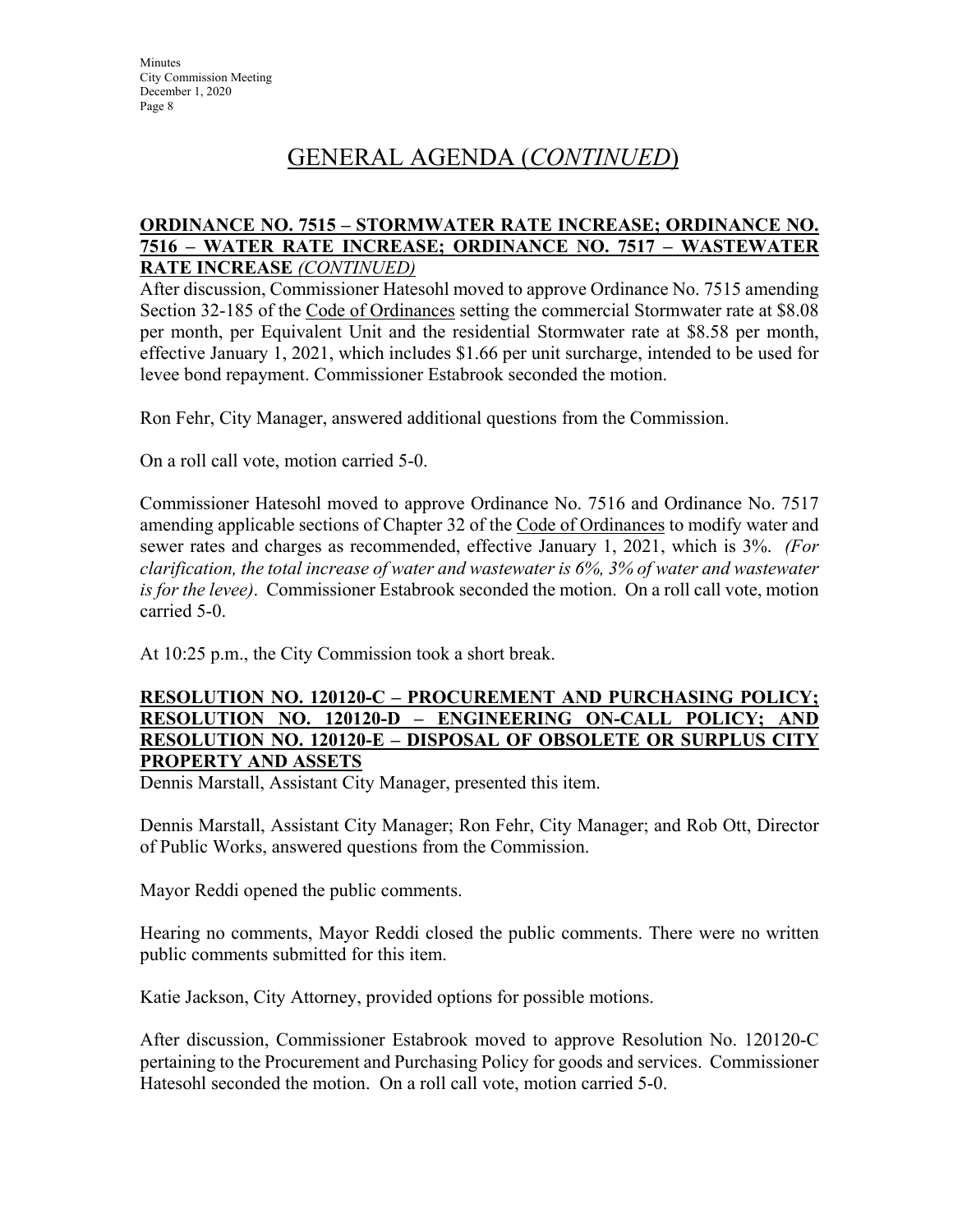### **ORDINANCE NO. 7515 – STORMWATER RATE INCREASE; ORDINANCE NO. 7516 – WATER RATE INCREASE; ORDINANCE NO. 7517 – WASTEWATER RATE INCREASE** *(CONTINUED)*

After discussion, Commissioner Hatesohl moved to approve Ordinance No. 7515 amending Section 32-185 of the Code of Ordinances setting the commercial Stormwater rate at \$8.08 per month, per Equivalent Unit and the residential Stormwater rate at \$8.58 per month, effective January 1, 2021, which includes \$1.66 per unit surcharge, intended to be used for levee bond repayment. Commissioner Estabrook seconded the motion.

Ron Fehr, City Manager, answered additional questions from the Commission.

On a roll call vote, motion carried 5-0.

Commissioner Hatesohl moved to approve Ordinance No. 7516 and Ordinance No. 7517 amending applicable sections of Chapter 32 of the Code of Ordinances to modify water and sewer rates and charges as recommended, effective January 1, 2021, which is 3%. *(For clarification, the total increase of water and wastewater is 6%, 3% of water and wastewater is for the levee)*. Commissioner Estabrook seconded the motion. On a roll call vote, motion carried 5-0.

At 10:25 p.m., the City Commission took a short break.

### **RESOLUTION NO. 120120-C – PROCUREMENT AND PURCHASING POLICY; RESOLUTION NO. 120120-D – ENGINEERING ON-CALL POLICY; AND RESOLUTION NO. 120120-E – DISPOSAL OF OBSOLETE OR SURPLUS CITY PROPERTY AND ASSETS**

Dennis Marstall, Assistant City Manager, presented this item.

Dennis Marstall, Assistant City Manager; Ron Fehr, City Manager; and Rob Ott, Director of Public Works, answered questions from the Commission.

Mayor Reddi opened the public comments.

Hearing no comments, Mayor Reddi closed the public comments. There were no written public comments submitted for this item.

Katie Jackson, City Attorney, provided options for possible motions.

After discussion, Commissioner Estabrook moved to approve Resolution No. 120120-C pertaining to the Procurement and Purchasing Policy for goods and services. Commissioner Hatesohl seconded the motion. On a roll call vote, motion carried 5-0.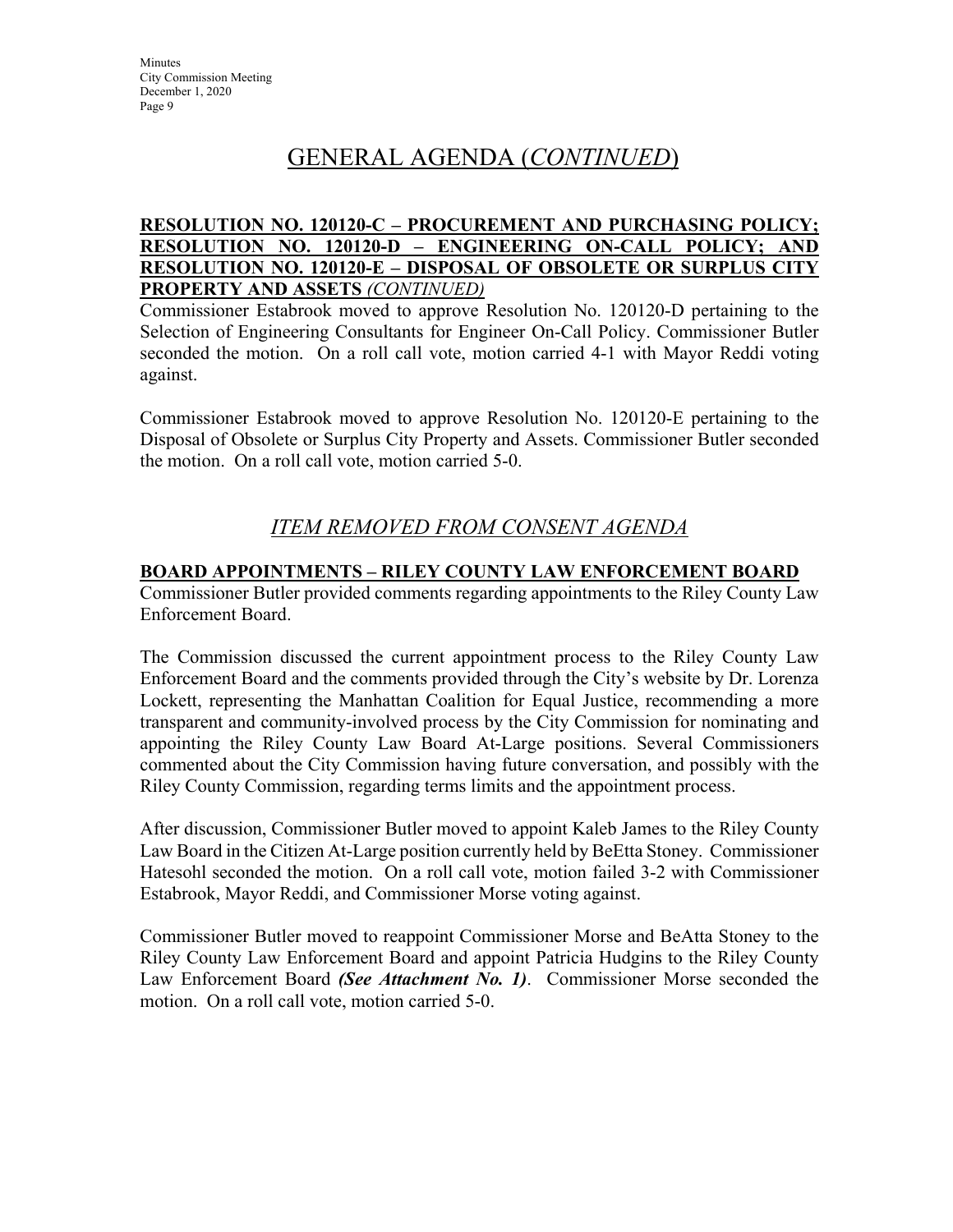### **RESOLUTION NO. 120120-C – PROCUREMENT AND PURCHASING POLICY; RESOLUTION NO. 120120-D – ENGINEERING ON-CALL POLICY; AND RESOLUTION NO. 120120-E – DISPOSAL OF OBSOLETE OR SURPLUS CITY PROPERTY AND ASSETS** *(CONTINUED)*

Commissioner Estabrook moved to approve Resolution No. 120120-D pertaining to the Selection of Engineering Consultants for Engineer On-Call Policy. Commissioner Butler seconded the motion. On a roll call vote, motion carried 4-1 with Mayor Reddi voting against.

Commissioner Estabrook moved to approve Resolution No. 120120-E pertaining to the Disposal of Obsolete or Surplus City Property and Assets. Commissioner Butler seconded the motion. On a roll call vote, motion carried 5-0.

### *ITEM REMOVED FROM CONSENT AGENDA*

### **BOARD APPOINTMENTS – RILEY COUNTY LAW ENFORCEMENT BOARD**

Commissioner Butler provided comments regarding appointments to the Riley County Law Enforcement Board.

The Commission discussed the current appointment process to the Riley County Law Enforcement Board and the comments provided through the City's website by Dr. Lorenza Lockett, representing the Manhattan Coalition for Equal Justice, recommending a more transparent and community-involved process by the City Commission for nominating and appointing the Riley County Law Board At-Large positions. Several Commissioners commented about the City Commission having future conversation, and possibly with the Riley County Commission, regarding terms limits and the appointment process.

After discussion, Commissioner Butler moved to appoint Kaleb James to the Riley County Law Board in the Citizen At-Large position currently held by BeEtta Stoney. Commissioner Hatesohl seconded the motion. On a roll call vote, motion failed 3-2 with Commissioner Estabrook, Mayor Reddi, and Commissioner Morse voting against.

Commissioner Butler moved to reappoint Commissioner Morse and BeAtta Stoney to the Riley County Law Enforcement Board and appoint Patricia Hudgins to the Riley County Law Enforcement Board *(See Attachment No. 1)*. Commissioner Morse seconded the motion. On a roll call vote, motion carried 5-0.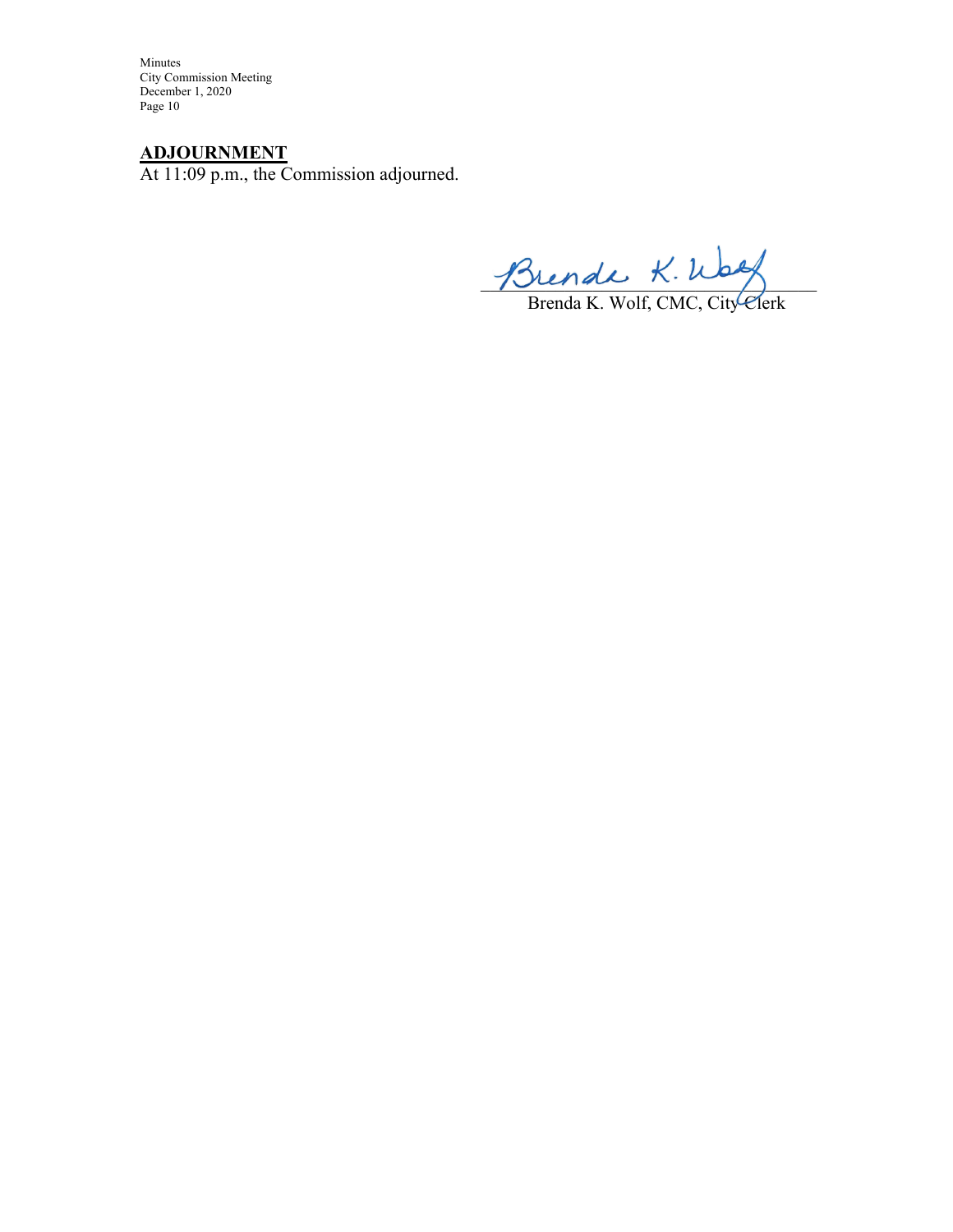Minutes City Commission Meeting December 1, 2020 Page 10

### **ADJOURNMENT**

At 11:09 p.m., the Commission adjourned.

 $m$   $\sim$ 

Brenda K. Wolf, CMC, City Clerk